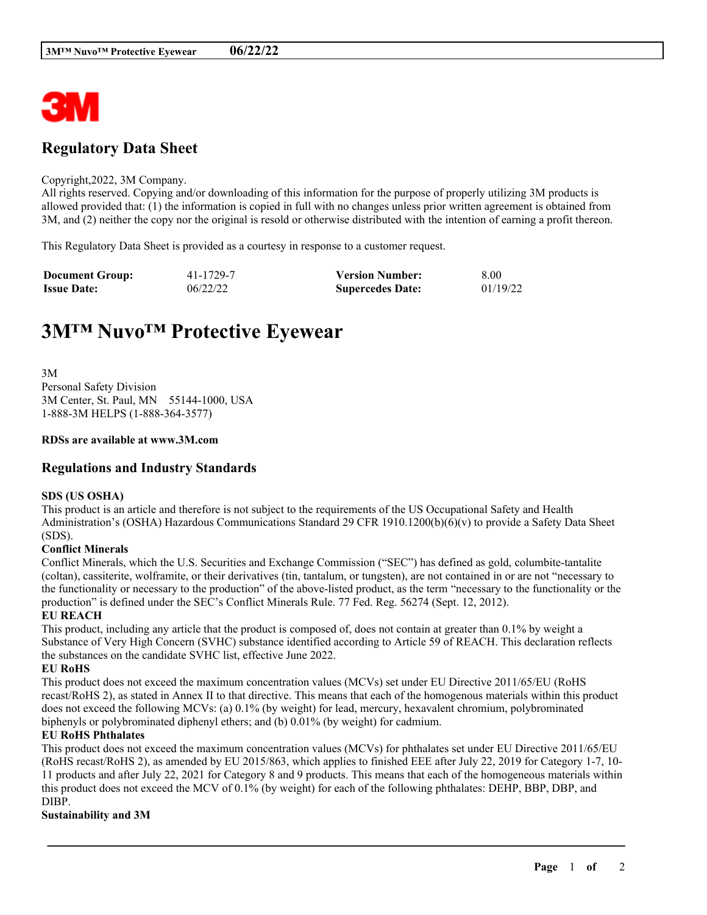

# **Regulatory Data Sheet**

#### Copyright,2022, 3M Company.

All rights reserved. Copying and/or downloading of this information for the purpose of properly utilizing 3M products is allowed provided that: (1) the information is copied in full with no changes unless prior written agreement is obtained from 3M, and (2) neither the copy nor the original is resold or otherwise distributed with the intention of earning a profit thereon.

This Regulatory Data Sheet is provided as a courtesy in response to a customer request.

| <b>Document Group:</b> | 41-1729-7 | <b>Version Number:</b>  | 8.00     |
|------------------------|-----------|-------------------------|----------|
| <b>Issue Date:</b>     | 06/22/22  | <b>Supercedes Date:</b> | 01/19/22 |

# **3M™ Nuvo™ Protective Eyewear**

3M Personal Safety Division 3M Center, St. Paul, MN 55144-1000, USA 1-888-3M HELPS (1-888-364-3577)

#### **RDSs are available at www.3M.com**

### **Regulations and Industry Standards**

#### **SDS (US OSHA)**

This product is an article and therefore is not subject to the requirements of the US Occupational Safety and Health Administration's (OSHA) Hazardous Communications Standard 29 CFR 1910.1200(b)(6)(v) to provide a Safety Data Sheet (SDS).

#### **Conflict Minerals**

Conflict Minerals, which the U.S. Securities and Exchange Commission ("SEC") has defined as gold, columbite-tantalite (coltan), cassiterite, wolframite, or their derivatives (tin, tantalum, or tungsten), are not contained in or are not "necessary to the functionality or necessary to the production" of the above-listed product, as the term "necessary to the functionality or the production" is defined under the SEC's Conflict Minerals Rule. 77 Fed. Reg. 56274 (Sept. 12, 2012).

#### **EU REACH**

This product, including any article that the product is composed of, does not contain at greater than 0.1% by weight a Substance of Very High Concern (SVHC) substance identified according to Article 59 of REACH. This declaration reflects the substances on the candidate SVHC list, effective June 2022.

#### **EU RoHS**

This product does not exceed the maximum concentration values (MCVs) set under EU Directive 2011/65/EU (RoHS recast/RoHS 2), as stated in Annex II to that directive. This means that each of the homogenous materials within this product does not exceed the following MCVs: (a) 0.1% (by weight) for lead, mercury, hexavalent chromium, polybrominated biphenyls or polybrominated diphenyl ethers; and (b) 0.01% (by weight) for cadmium.

#### **EU RoHS Phthalates**

This product does not exceed the maximum concentration values (MCVs) for phthalates set under EU Directive 2011/65/EU (RoHS recast/RoHS 2), as amended by EU 2015/863, which applies to finished EEE after July 22, 2019 for Category 1-7, 10- 11 products and after July 22, 2021 for Category 8 and 9 products. This means that each of the homogeneous materials within this product does not exceed the MCV of 0.1% (by weight) for each of the following phthalates: DEHP, BBP, DBP, and DIBP.

\_\_\_\_\_\_\_\_\_\_\_\_\_\_\_\_\_\_\_\_\_\_\_\_\_\_\_\_\_\_\_\_\_\_\_\_\_\_\_\_\_\_\_\_\_\_\_\_\_\_\_\_\_\_\_\_\_\_\_\_\_\_\_\_\_\_\_\_\_\_\_\_\_\_\_\_\_\_\_\_\_\_\_\_\_\_\_\_\_\_

#### **Sustainability and 3M**